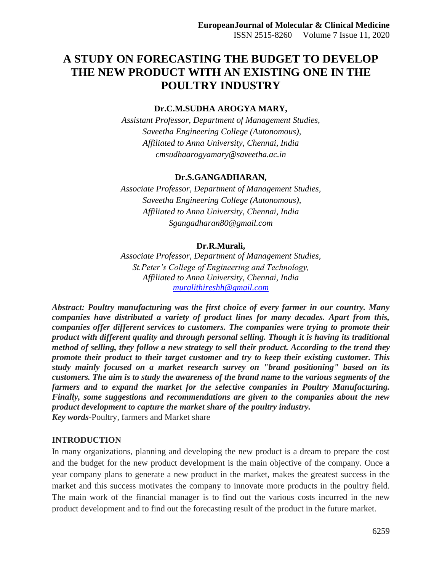# **A STUDY ON FORECASTING THE BUDGET TO DEVELOP THE NEW PRODUCT WITH AN EXISTING ONE IN THE POULTRY INDUSTRY**

#### **Dr.C.M.SUDHA AROGYA MARY,**

*Assistant Professor, Department of Management Studies, Saveetha Engineering College (Autonomous), Affiliated to Anna University, Chennai, India cmsudhaarogyamary@saveetha.ac.in*

#### **Dr.S.GANGADHARAN,**

*Associate Professor, Department of Management Studies, Saveetha Engineering College (Autonomous), Affiliated to Anna University, Chennai, India Sgangadharan80@gmail.com*

#### **Dr.R.Murali,**

*Associate Professor, Department of Management Studies, St.Peter's College of Engineering and Technology, Affiliated to Anna University, Chennai, India [muralithireshh@gmail.com](mailto:muralithireshh@gmail.com)*

*Abstract: Poultry manufacturing was the first choice of every farmer in our country. Many companies have distributed a variety of product lines for many decades. Apart from this, companies offer different services to customers. The companies were trying to promote their product with different quality and through personal selling. Though it is having its traditional method of selling, they follow a new strategy to sell their product. According to the trend they promote their product to their target customer and try to keep their existing customer. This study mainly focused on a market research survey on "brand positioning" based on its customers. The aim is to study the awareness of the brand name to the various segments of the farmers and to expand the market for the selective companies in Poultry Manufacturing. Finally, some suggestions and recommendations are given to the companies about the new product development to capture the market share of the poultry industry. Key words-*Poultry, farmers and Market share

#### **INTRODUCTION**

In many organizations, planning and developing the new product is a dream to prepare the cost and the budget for the new product development is the main objective of the company. Once a year company plans to generate a new product in the market, makes the greatest success in the market and this success motivates the company to innovate more products in the poultry field. The main work of the financial manager is to find out the various costs incurred in the new product development and to find out the forecasting result of the product in the future market.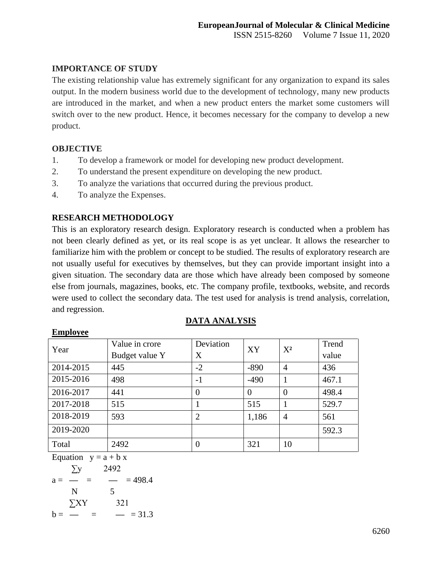## **IMPORTANCE OF STUDY**

The existing relationship value has extremely significant for any organization to expand its sales output. In the modern business world due to the development of technology, many new products are introduced in the market, and when a new product enters the market some customers will switch over to the new product. Hence, it becomes necessary for the company to develop a new product.

## **OBJECTIVE**

- 1. To develop a framework or model for developing new product development.
- 2. To understand the present expenditure on developing the new product.
- 3. To analyze the variations that occurred during the previous product.
- 4. To analyze the Expenses.

## **RESEARCH METHODOLOGY**

This is an exploratory research design. Exploratory research is conducted when a problem has not been clearly defined as yet, or its real scope is as yet unclear. It allows the researcher to familiarize him with the problem or concept to be studied. The results of exploratory research are not usually useful for executives by themselves, but they can provide important insight into a given situation. The secondary data are those which have already been composed by someone else from journals, magazines, books, etc. The company profile, textbooks, website, and records were used to collect the secondary data. The test used for analysis is trend analysis, correlation, and regression.

**DATA ANALYSIS**

| 2211P10, VV |                |                |          |                |       |
|-------------|----------------|----------------|----------|----------------|-------|
| Year        | Value in crore | Deviation      | XY       | $X^2$          | Trend |
|             | Budget value Y | X              |          |                | value |
| 2014-2015   | 445            | $-2$           | $-890$   | $\overline{4}$ | 436   |
| 2015-2016   | 498            | $-1$           | $-490$   |                | 467.1 |
| 2016-2017   | 441            | $\Omega$       | $\theta$ |                | 498.4 |
| 2017-2018   | 515            |                | 515      |                | 529.7 |
| 2018-2019   | 593            | 2              | 1,186    | $\overline{4}$ | 561   |
| 2019-2020   |                |                |          |                | 592.3 |
| Total       | 2492           | $\overline{0}$ | 321      | 10             |       |

#### **Employee**

Equation  $y = a + b x$  ∑y 2492  $a =$   $=$   $=$  498.4 N 5 ∑XY 321  $b =$   $=$   $=$  31.3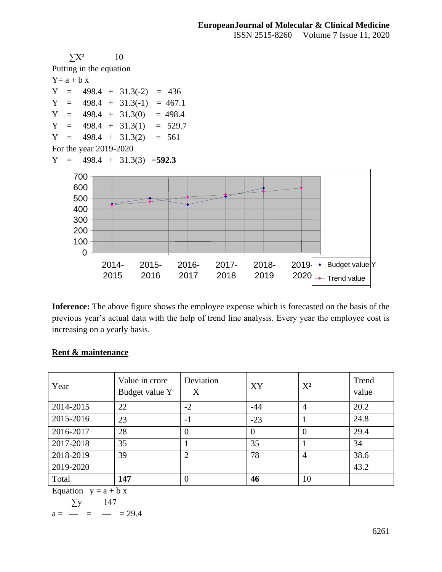

**Inference:** The above figure shows the employee expense which is forecasted on the basis of the previous year's actual data with the help of trend line analysis. Every year the employee cost is increasing on a yearly basis.

### **Rent & maintenance**

| Year                   | Value in crore<br>Budget value Y | Deviation<br>Χ | XY       | $X^2$          | Trend<br>value |  |
|------------------------|----------------------------------|----------------|----------|----------------|----------------|--|
| 2014-2015              | 22                               | $-2$           | $-44$    | 4              | 20.2           |  |
| 2015-2016              | 23                               | $-1$           | $-23$    |                | 24.8           |  |
| 2016-2017              | 28                               | $\Omega$       | $\theta$ | $\Omega$       | 29.4           |  |
| 2017-2018              | 35                               |                | 35       |                | 34             |  |
| 2018-2019              | 39                               | $\overline{2}$ | 78       | $\overline{4}$ | 38.6           |  |
| 2019-2020              |                                  |                |          |                | 43.2           |  |
| Total                  | 147                              | $\theta$       | 46       | 10             |                |  |
| Equation $y = a + b x$ |                                  |                |          |                |                |  |

$$
\frac{1}{T_{\text{eq}}} = \frac{147}{147}
$$

 $\sum y$  147  $a =$   $=$   $=$  29.4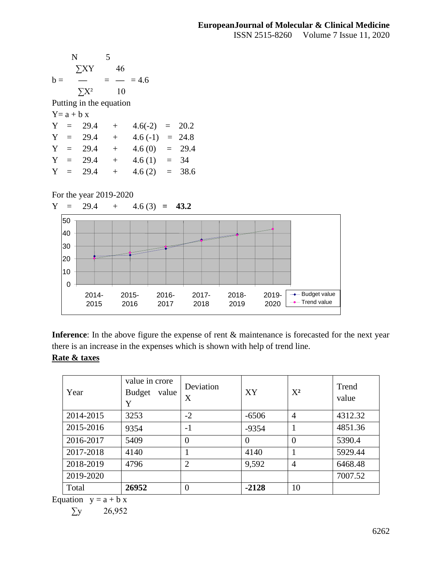



Inference: In the above figure the expense of rent  $\&$  maintenance is forecasted for the next year there is an increase in the expenses which is shown with help of trend line.

## **Rate & taxes**

| Year      | value in crore<br><b>Budget</b><br>value<br>Y | Deviation<br>X | XY       | $X^2$          | Trend<br>value |
|-----------|-----------------------------------------------|----------------|----------|----------------|----------------|
| 2014-2015 | 3253                                          | $-2$           | $-6506$  | $\overline{A}$ | 4312.32        |
| 2015-2016 | 9354                                          | $-1$           | $-9354$  |                | 4851.36        |
| 2016-2017 | 5409                                          | $\overline{0}$ | $\Omega$ | $\overline{0}$ | 5390.4         |
| 2017-2018 | 4140                                          |                | 4140     |                | 5929.44        |
| 2018-2019 | 4796                                          | $\overline{2}$ | 9,592    | $\overline{A}$ | 6468.48        |
| 2019-2020 |                                               |                |          |                | 7007.52        |
| Total     | 26952                                         | 0              | $-2128$  | 10             |                |

Equation  $y = a + b x$ 

 $\Sigma$ y 26,952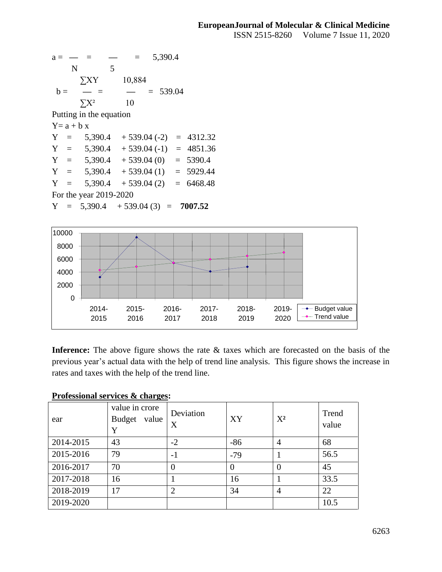$a =$   $=$   $=$  5,390.4 N 5 ∑XY 10,884  $b =$   $\rightarrow$   $=$   $\rightarrow$   $=$  539.04  $\sum X^2$  10 Putting in the equation  $Y = a + b x$  $Y = 5,390.4 + 539.04 (-2) = 4312.32$  $Y = 5,390.4 + 539.04 (-1) = 4851.36$  $Y = 5,390.4 + 539.04(0) = 5390.4$  $Y = 5,390.4 + 539.04(1) = 5929.44$  $Y = 5,390.4 + 539.04(2) = 6468.48$ For the year 2019-2020  $Y = 5,390.4 + 539.04(3) = 7007.52$ 



**Inference:** The above figure shows the rate & taxes which are forecasted on the basis of the previous year's actual data with the help of trend line analysis. This figure shows the increase in rates and taxes with the help of the trend line.

## **Professional services & charges:**

| ear       | value in crore<br><b>Budget</b><br>value<br>Y | Deviation<br>X | XY       | $X^2$          | Trend<br>value |
|-----------|-----------------------------------------------|----------------|----------|----------------|----------------|
| 2014-2015 | 43                                            | $-2$           | $-86$    | $\overline{4}$ | 68             |
| 2015-2016 | 79                                            | $-1$           | $-79$    |                | 56.5           |
| 2016-2017 | 70                                            | $\theta$       | $\Omega$ | $\theta$       | 45             |
| 2017-2018 | 16                                            |                | 16       |                | 33.5           |
| 2018-2019 | 17                                            | $\overline{2}$ | 34       | $\overline{A}$ | 22             |
| 2019-2020 |                                               |                |          |                | 10.5           |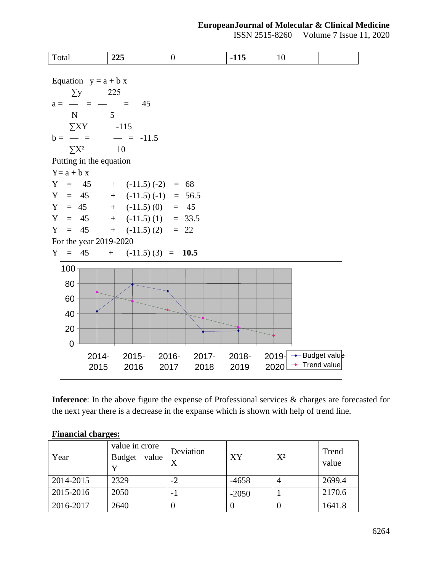### **EuropeanJournal of Molecular & Clinical Medicine**

ISSN 2515-8260 Volume 7 Issue 11, 2020



**Inference**: In the above figure the expense of Professional services & charges are forecasted for the next year there is a decrease in the expanse which is shown with help of trend line.

### **Financial charges:**

| Year      | value in crore<br><b>Budget</b><br>value | Deviation<br>X | XY      | $X^2$ | Trend<br>value |
|-----------|------------------------------------------|----------------|---------|-------|----------------|
| 2014-2015 | 2329                                     | $-2$           | $-4658$ |       | 2699.4         |
| 2015-2016 | 2050                                     | - 1            | $-2050$ |       | 2170.6         |
| 2016-2017 | 2640                                     |                |         |       | 1641.8         |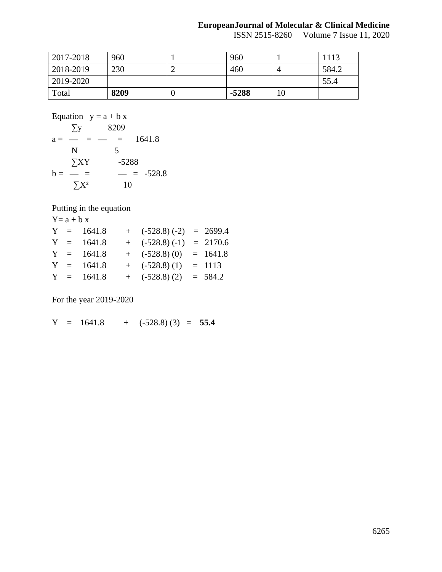#### **EuropeanJournal of Molecular & Clinical Medicine**

ISSN 2515-8260 Volume 7 Issue 11, 2020

| 2017-2018 | 960  |   | 960     |    | 1113  |
|-----------|------|---|---------|----|-------|
| 2018-2019 | 230  |   | 460     |    | 584.2 |
| 2019-2020 |      |   |         |    | 55.4  |
| Total     | 8209 | ν | $-5288$ | 10 |       |

Equation  $y = a + b x$ 

$$
a = \frac{\sum y}{N} = \frac{8209}{5}
$$
  
\n
$$
b = \frac{\sum XY}{N} = \frac{5288}{5} = \frac{5288}{5} = \frac{528.8}{10} = 528.8
$$

Putting in the equation

 $Y=a + b x$  $Y = 1641.8 + (-528.8)(-2) = 2699.4$  $Y = 1641.8 + (-528.8) (-1) = 2170.6$  $Y = 1641.8 + (-528.8) (0) = 1641.8$  $Y = 1641.8 + (-528.8) (1) = 1113$  $Y = 1641.8 + (-528.8)(2) = 584.2$ 

For the year 2019-2020

 $Y = 1641.8 + (-528.8)(3) = 55.4$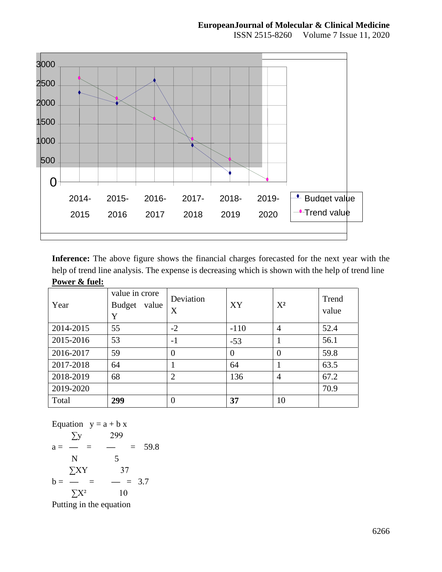

**Inference:** The above figure shows the financial charges forecasted for the next year with the help of trend line analysis. The expense is decreasing which is shown with the help of trend line **Power & fuel:**

| Year      | value in crore<br><b>Budget</b><br>value<br>Y | Deviation<br>X | XY             | $X^2$          | Trend<br>value |
|-----------|-----------------------------------------------|----------------|----------------|----------------|----------------|
| 2014-2015 | 55                                            | $-2$           | $-110$         | $\overline{4}$ | 52.4           |
| 2015-2016 | 53                                            | $-1$           | $-53$          |                | 56.1           |
| 2016-2017 | 59                                            | $\theta$       | $\overline{0}$ | $\theta$       | 59.8           |
| 2017-2018 | 64                                            |                | 64             |                | 63.5           |
| 2018-2019 | 68                                            | $\overline{2}$ | 136            | $\overline{4}$ | 67.2           |
| 2019-2020 |                                               |                |                |                | 70.9           |
| Total     | 299                                           | $\theta$       | 37             | 10             |                |

Equation 
$$
y = a + b x
$$
  
\n
$$
\sum y \qquad 299
$$
\n
$$
a = \frac{1}{b} = \frac{1}{c} = \frac{1}{c} = \frac{59.8}{25}
$$
\n
$$
b = \frac{1}{c} = \frac{1}{c} = \frac{1}{c} = \frac{3.7}{25}
$$
\nPutting in the equation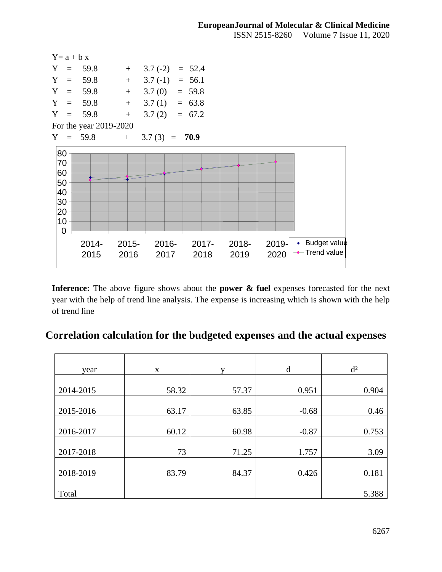| $Y = a + b x$                                     |                        |                  |                 |                  |               |                  |                                                         |
|---------------------------------------------------|------------------------|------------------|-----------------|------------------|---------------|------------------|---------------------------------------------------------|
| Y                                                 | $= 59.8$               | $+$              | $3.7(-2)$       | $= 52.4$         |               |                  |                                                         |
|                                                   | $Y = 59.8$             | $\pm$            | $3.7(-1)$       | $= 56.1$         |               |                  |                                                         |
| $Y = 59.8$                                        |                        | $+$              | $3.7(0) = 59.8$ |                  |               |                  |                                                         |
| $Y = 59.8$                                        |                        | $+$              | $3.7(1) = 63.8$ |                  |               |                  |                                                         |
|                                                   | $Y = 59.8$             | $+$              | $3.7(2) = 67.2$ |                  |               |                  |                                                         |
|                                                   | For the year 2019-2020 |                  |                 |                  |               |                  |                                                         |
|                                                   | $Y = 59.8$             | $+$              | $3.7(3) = 70.9$ |                  |               |                  |                                                         |
| 80<br>70<br>60<br>50<br>40<br>30<br>20<br>10<br>0 |                        |                  |                 |                  |               |                  |                                                         |
|                                                   | 2014-<br>2015          | $2015 -$<br>2016 | 2016-<br>2017   | $2017 -$<br>2018 | 2018-<br>2019 | $2019 -$<br>2020 | $\rightarrow$ -Budget value<br>$\leftarrow$ Trend value |

Inference: The above figure shows about the **power & fuel** expenses forecasted for the next year with the help of trend line analysis. The expense is increasing which is shown with the help of trend line

# **Correlation calculation for the budgeted expenses and the actual expenses**

| year      | X     | v     | d       | $d^2$ |
|-----------|-------|-------|---------|-------|
|           |       |       |         |       |
| 2014-2015 | 58.32 | 57.37 | 0.951   | 0.904 |
|           |       |       |         |       |
| 2015-2016 | 63.17 | 63.85 | $-0.68$ | 0.46  |
|           |       |       |         |       |
| 2016-2017 | 60.12 | 60.98 | $-0.87$ | 0.753 |
|           |       |       |         |       |
| 2017-2018 | 73    | 71.25 | 1.757   | 3.09  |
|           |       |       |         |       |
| 2018-2019 | 83.79 | 84.37 | 0.426   | 0.181 |
|           |       |       |         |       |
| Total     |       |       |         | 5.388 |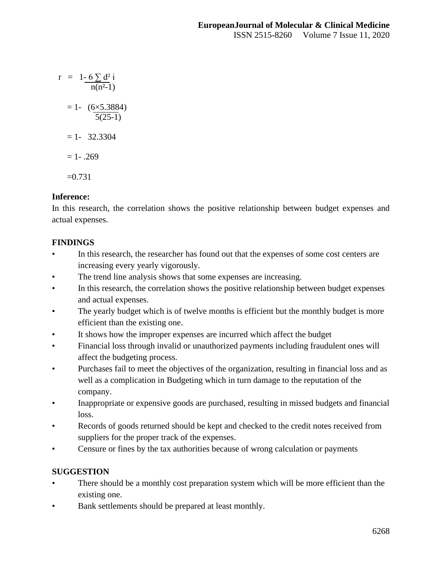$r = 1 - 6 \sum d^2 i$  $n(n^2-1)$  $= 1 - (6 \times 5.3884)$  5(25-1)  $= 1 - 32.3304$  $= 1 - .269$  $=0.731$ 

# **Inference:**

In this research, the correlation shows the positive relationship between budget expenses and actual expenses.

# **FINDINGS**

- In this research, the researcher has found out that the expenses of some cost centers are increasing every yearly vigorously.
- The trend line analysis shows that some expenses are increasing.
- In this research, the correlation shows the positive relationship between budget expenses and actual expenses.
- The yearly budget which is of twelve months is efficient but the monthly budget is more efficient than the existing one.
- It shows how the improper expenses are incurred which affect the budget
- Financial loss through invalid or unauthorized payments including fraudulent ones will affect the budgeting process.
- Purchases fail to meet the objectives of the organization, resulting in financial loss and as well as a complication in Budgeting which in turn damage to the reputation of the company.
- Inappropriate or expensive goods are purchased, resulting in missed budgets and financial loss.
- Records of goods returned should be kept and checked to the credit notes received from suppliers for the proper track of the expenses.
- Censure or fines by the tax authorities because of wrong calculation or payments

# **SUGGESTION**

- There should be a monthly cost preparation system which will be more efficient than the existing one.
- Bank settlements should be prepared at least monthly.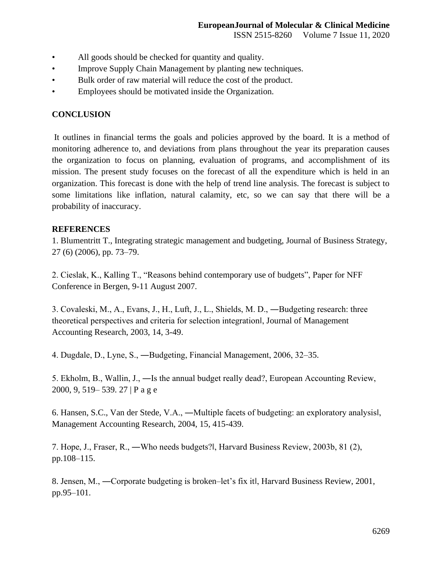- All goods should be checked for quantity and quality.
- Improve Supply Chain Management by planting new techniques.
- Bulk order of raw material will reduce the cost of the product.
- Employees should be motivated inside the Organization.

## **CONCLUSION**

It outlines in financial terms the goals and policies approved by the board. It is a method of monitoring adherence to, and deviations from plans throughout the year its preparation causes the organization to focus on planning, evaluation of programs, and accomplishment of its mission. The present study focuses on the forecast of all the expenditure which is held in an organization. This forecast is done with the help of trend line analysis. The forecast is subject to some limitations like inflation, natural calamity, etc, so we can say that there will be a probability of inaccuracy.

### **REFERENCES**

1. Blumentritt T., Integrating strategic management and budgeting, Journal of Business Strategy, 27 (6) (2006), pp. 73–79.

2. Cieslak, K., Kalling T., "Reasons behind contemporary use of budgets", Paper for NFF Conference in Bergen, 9-11 August 2007.

3. Covaleski, M., A., Evans, J., H., Luft, J., L., Shields, M. D., ―Budgeting research: three theoretical perspectives and criteria for selection integration‖, Journal of Management Accounting Research, 2003, 14, 3-49.

4. Dugdale, D., Lyne, S., ―Budgeting, Financial Management, 2006, 32–35.

5. Ekholm, B., Wallin, J., ―Is the annual budget really dead?, European Accounting Review, 2000, 9, 519– 539. 27 | P a g e

6. Hansen, S.C., Van der Stede, V.A., ―Multiple facets of budgeting: an exploratory analysis‖, Management Accounting Research, 2004, 15, 415-439.

7. Hope, J., Fraser, R., ―Who needs budgets?‖, Harvard Business Review, 2003b, 81 (2), pp.108–115.

8. Jensen, M., ―Corporate budgeting is broken–let's fix it‖, Harvard Business Review, 2001, pp.95–101.